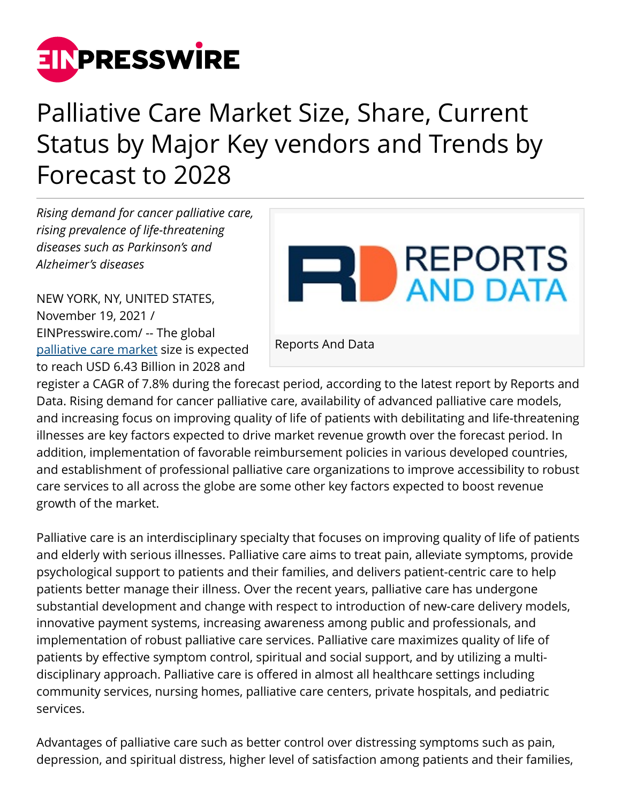

## Palliative Care Market Size, Share, Current Status by Major Key vendors and Trends by Forecast to 2028

*Rising demand for cancer palliative care, rising prevalence of life-threatening diseases such as Parkinson's and Alzheimer's diseases*

NEW YORK, NY, UNITED STATES, November 19, 2021 / [EINPresswire.com](http://www.einpresswire.com)/ -- The global [palliative care market](https://www.reportsanddata.com/report-detail/palliative-care-market) size is expected to reach USD 6.43 Billion in 2028 and



register a CAGR of 7.8% during the forecast period, according to the latest report by Reports and Data. Rising demand for cancer palliative care, availability of advanced palliative care models, and increasing focus on improving quality of life of patients with debilitating and life-threatening illnesses are key factors expected to drive market revenue growth over the forecast period. In addition, implementation of favorable reimbursement policies in various developed countries, and establishment of professional palliative care organizations to improve accessibility to robust care services to all across the globe are some other key factors expected to boost revenue growth of the market.

Palliative care is an interdisciplinary specialty that focuses on improving quality of life of patients and elderly with serious illnesses. Palliative care aims to treat pain, alleviate symptoms, provide psychological support to patients and their families, and delivers patient-centric care to help patients better manage their illness. Over the recent years, palliative care has undergone substantial development and change with respect to introduction of new-care delivery models, innovative payment systems, increasing awareness among public and professionals, and implementation of robust palliative care services. Palliative care maximizes quality of life of patients by effective symptom control, spiritual and social support, and by utilizing a multidisciplinary approach. Palliative care is offered in almost all healthcare settings including community services, nursing homes, palliative care centers, private hospitals, and pediatric services.

Advantages of palliative care such as better control over distressing symptoms such as pain, depression, and spiritual distress, higher level of satisfaction among patients and their families,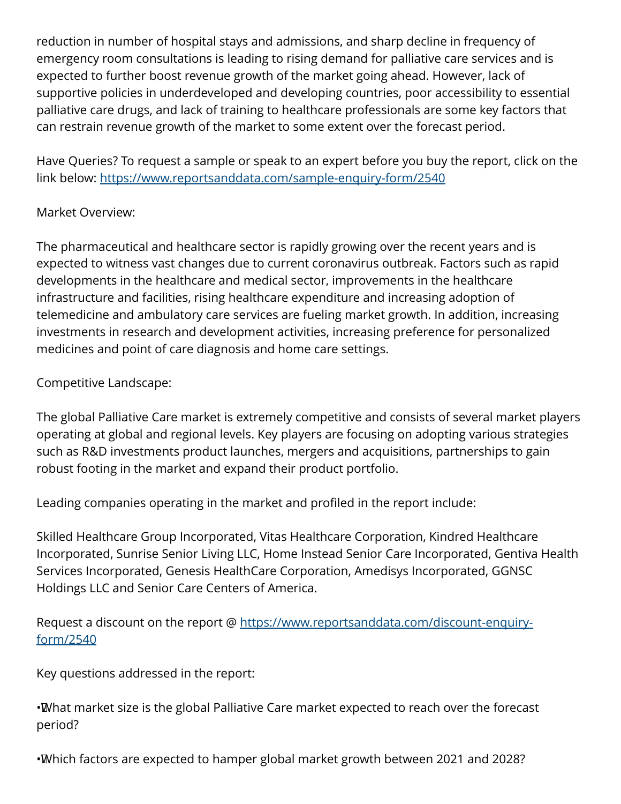reduction in number of hospital stays and admissions, and sharp decline in frequency of emergency room consultations is leading to rising demand for palliative care services and is expected to further boost revenue growth of the market going ahead. However, lack of supportive policies in underdeveloped and developing countries, poor accessibility to essential palliative care drugs, and lack of training to healthcare professionals are some key factors that can restrain revenue growth of the market to some extent over the forecast period.

Have Queries? To request a sample or speak to an expert before you buy the report, click on the link below: <https://www.reportsanddata.com/sample-enquiry-form/2540>

## Market Overview:

The pharmaceutical and healthcare sector is rapidly growing over the recent years and is expected to witness vast changes due to current coronavirus outbreak. Factors such as rapid developments in the healthcare and medical sector, improvements in the healthcare infrastructure and facilities, rising healthcare expenditure and increasing adoption of telemedicine and ambulatory care services are fueling market growth. In addition, increasing investments in research and development activities, increasing preference for personalized medicines and point of care diagnosis and home care settings.

Competitive Landscape:

The global Palliative Care market is extremely competitive and consists of several market players operating at global and regional levels. Key players are focusing on adopting various strategies such as R&D investments product launches, mergers and acquisitions, partnerships to gain robust footing in the market and expand their product portfolio.

Leading companies operating in the market and profiled in the report include:

Skilled Healthcare Group Incorporated, Vitas Healthcare Corporation, Kindred Healthcare Incorporated, Sunrise Senior Living LLC, Home Instead Senior Care Incorporated, Gentiva Health Services Incorporated, Genesis HealthCare Corporation, Amedisys Incorporated, GGNSC Holdings LLC and Senior Care Centers of America.

Request a discount on the report @ [https://www.reportsanddata.com/discount-enquiry](https://www.reportsanddata.com/discount-enquiry-form/2540)[form/2540](https://www.reportsanddata.com/discount-enquiry-form/2540)

Key questions addressed in the report:

• What market size is the global Palliative Care market expected to reach over the forecast period?

• Which factors are expected to hamper global market growth between 2021 and 2028?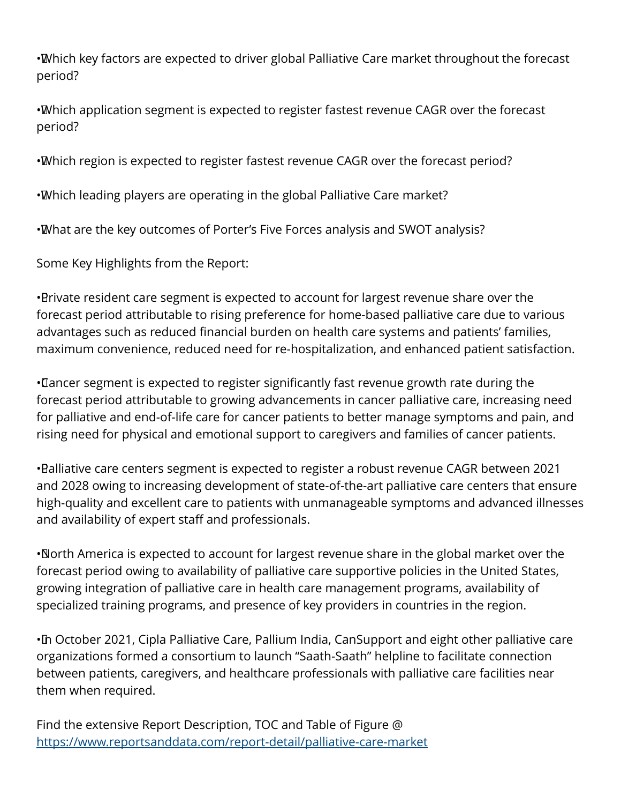• Which key factors are expected to driver global Palliative Care market throughout the forecast period?

• Which application segment is expected to register fastest revenue CAGR over the forecast period?

• Which region is expected to register fastest revenue CAGR over the forecast period?

• Which leading players are operating in the global Palliative Care market?

• What are the key outcomes of Porter's Five Forces analysis and SWOT analysis?

Some Key Highlights from the Report:

• Private resident care segment is expected to account for largest revenue share over the forecast period attributable to rising preference for home-based palliative care due to various advantages such as reduced financial burden on health care systems and patients' families, maximum convenience, reduced need for re-hospitalization, and enhanced patient satisfaction.

• Cancer segment is expected to register significantly fast revenue growth rate during the forecast period attributable to growing advancements in cancer palliative care, increasing need for palliative and end-of-life care for cancer patients to better manage symptoms and pain, and rising need for physical and emotional support to caregivers and families of cancer patients.

• Balliative care centers segment is expected to register a robust revenue CAGR between 2021 and 2028 owing to increasing development of state-of-the-art palliative care centers that ensure high-quality and excellent care to patients with unmanageable symptoms and advanced illnesses and availability of expert staff and professionals.

• North America is expected to account for largest revenue share in the global market over the forecast period owing to availability of palliative care supportive policies in the United States, growing integration of palliative care in health care management programs, availability of specialized training programs, and presence of key providers in countries in the region.

· In October 2021, Cipla Palliative Care, Pallium India, CanSupport and eight other palliative care organizations formed a consortium to launch "Saath-Saath" helpline to facilitate connection between patients, caregivers, and healthcare professionals with palliative care facilities near them when required.

Find the extensive Report Description, TOC and Table of Figure @ <https://www.reportsanddata.com/report-detail/palliative-care-market>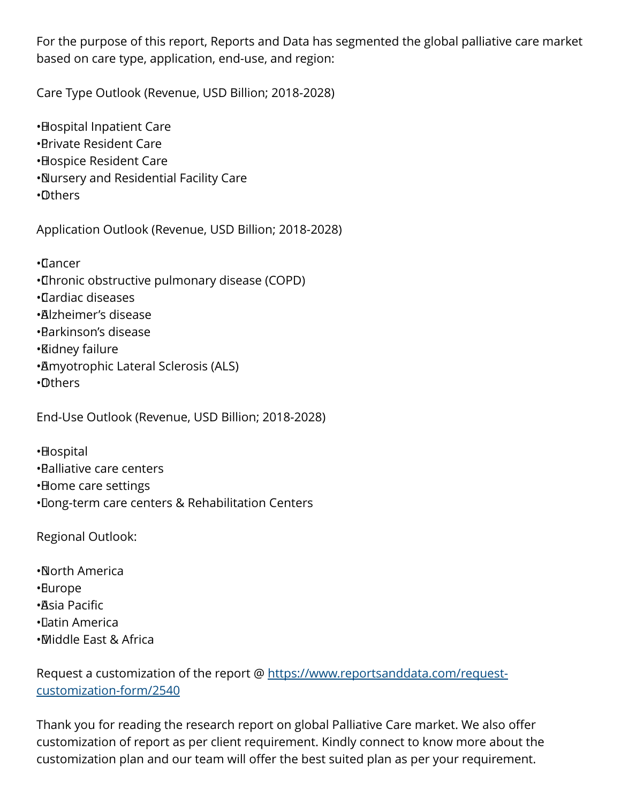For the purpose of this report, Reports and Data has segmented the global palliative care market based on care type, application, end-use, and region:

Care Type Outlook (Revenue, USD Billion; 2018-2028)

• Hospital Inpatient Care • Private Resident Care • Hospice Resident Care • Nursery and Residential Facility Care • Others

Application Outlook (Revenue, USD Billion; 2018-2028)

- • Cancer
- • Chronic obstructive pulmonary disease (COPD)
- • Cardiac diseases
- • Alzheimer's disease
- • Parkinson's disease
- • Kidney failure
- • Amyotrophic Lateral Sclerosis (ALS)
- • Others

End-Use Outlook (Revenue, USD Billion; 2018-2028)

- •**Hospital**
- • Palliative care centers
- • Home care settings
- • Long-term care centers & Rehabilitation Centers

Regional Outlook:

- • North America
- • Europe
- • Asia Pacific
- • Latin America
- • Middle East & Africa

Request a customization of the report @ [https://www.reportsanddata.com/request](https://www.reportsanddata.com/request-customization-form/2540)[customization-form/2540](https://www.reportsanddata.com/request-customization-form/2540)

Thank you for reading the research report on global Palliative Care market. We also offer customization of report as per client requirement. Kindly connect to know more about the customization plan and our team will offer the best suited plan as per your requirement.